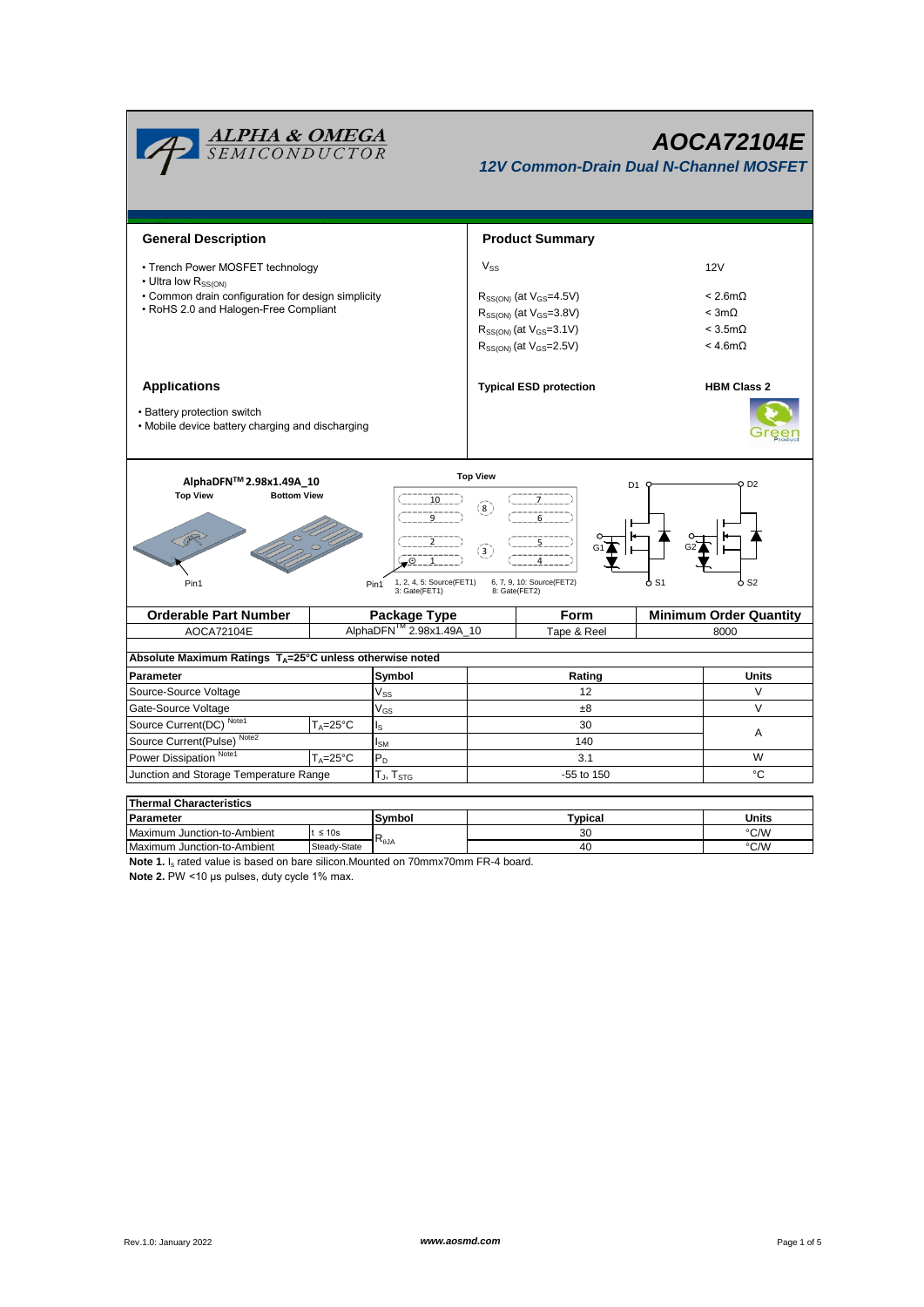

## *AOCA72104E*

*12V Common-Drain Dual N-Channel MOSFET*

| <b>General Description</b>                                                                                              |                         |                  |            | <b>Product Summary</b>             |                               |                    |  |  |  |
|-------------------------------------------------------------------------------------------------------------------------|-------------------------|------------------|------------|------------------------------------|-------------------------------|--------------------|--|--|--|
| • Trench Power MOSFET technology<br>• Ultra low R <sub>SS(ON)</sub>                                                     |                         |                  | $V_{SS}$   |                                    | 12V                           |                    |  |  |  |
| • Common drain configuration for design simplicity                                                                      |                         |                  |            | $R_{SS(ON)}$ (at $V_{GS}$ =4.5V)   | $< 2.6m\Omega$                |                    |  |  |  |
| • RoHS 2.0 and Halogen-Free Compliant                                                                                   |                         |                  |            | $R_{SS(ON)}$ (at $V_{GS} = 3.8V$ ) |                               | $<$ 3m $\Omega$    |  |  |  |
|                                                                                                                         |                         |                  |            | $R_{SS(ON)}$ (at $V_{GS}$ =3.1V)   |                               | $<$ 3.5m $\Omega$  |  |  |  |
|                                                                                                                         |                         |                  |            | $R_{SS(ON)}$ (at $V_{GS}$ =2.5V)   |                               | $<$ 4.6m $\Omega$  |  |  |  |
|                                                                                                                         |                         |                  |            |                                    |                               |                    |  |  |  |
| <b>Applications</b>                                                                                                     |                         |                  |            | <b>Typical ESD protection</b>      |                               | <b>HBM Class 2</b> |  |  |  |
| • Battery protection switch                                                                                             |                         |                  |            |                                    |                               |                    |  |  |  |
| • Mobile device battery charging and discharging                                                                        |                         |                  |            |                                    |                               |                    |  |  |  |
|                                                                                                                         |                         |                  |            |                                    |                               |                    |  |  |  |
| <b>Top View</b>                                                                                                         |                         |                  |            |                                    |                               |                    |  |  |  |
| AlphaDFN™ 2.98x1.49A 10<br><b>Bottom View</b>                                                                           |                         |                  |            | O D2<br>D1                         |                               |                    |  |  |  |
| <b>Top View</b>                                                                                                         | 10                      | (8)              |            |                                    |                               |                    |  |  |  |
|                                                                                                                         |                         |                  |            |                                    |                               |                    |  |  |  |
|                                                                                                                         |                         |                  |            |                                    |                               |                    |  |  |  |
|                                                                                                                         | Θ.                      | $\left(3\right)$ |            |                                    |                               |                    |  |  |  |
|                                                                                                                         |                         |                  |            |                                    |                               |                    |  |  |  |
| 1, 2, 4, 5: Source(FET1)<br>6, 7, 9, 10: Source(FET2)<br>ბ S1<br>ბ S2<br>Pin1<br>Pin1<br>3: Gate(FET1)<br>8: Gate(FET2) |                         |                  |            |                                    |                               |                    |  |  |  |
| <b>Orderable Part Number</b><br>Package Type                                                                            |                         |                  |            | Form                               | <b>Minimum Order Quantity</b> |                    |  |  |  |
| AOCA72104E                                                                                                              | AlphaDFN™ 2.98x1.49A_10 |                  |            | Tape & Reel                        |                               | 8000               |  |  |  |
|                                                                                                                         |                         |                  |            |                                    |                               |                    |  |  |  |
| Absolute Maximum Ratings T <sub>A</sub> =25°C unless otherwise noted                                                    |                         |                  |            |                                    |                               |                    |  |  |  |
| Parameter                                                                                                               |                         | Symbol           |            | Rating                             |                               | <b>Units</b>       |  |  |  |
| Source-Source Voltage                                                                                                   |                         | $V_{SS}$         |            | 12                                 |                               | V                  |  |  |  |
| Gate-Source Voltage                                                                                                     |                         | $V_{GS}$         |            | ±8                                 |                               | $\vee$             |  |  |  |
| Source Current(DC) Note1                                                                                                | $T_A = 25^{\circ}C$     | ls               | 30         |                                    | Α                             |                    |  |  |  |
| Note <sub>2</sub><br>Source Current(Pulse)                                                                              |                         | $I_{\text{SM}}$  |            | 140                                |                               |                    |  |  |  |
| Power Dissipation Note1<br>$T_{A} = 25^{\circ}C$                                                                        |                         | $P_D$            | 3.1        |                                    |                               | W                  |  |  |  |
| Junction and Storage Temperature Range<br>$T_J$ , $T_{STG}$                                                             |                         |                  | -55 to 150 |                                    | °C                            |                    |  |  |  |
|                                                                                                                         |                         |                  |            |                                    |                               |                    |  |  |  |

**Symbol** t ≤ 10s Steady-State **Thermal Characteristics** Maximum Junction-to-Ambient t ≤ 10s<br>
Maximum Junction-to-Ambient Steady-State R<sub>BJA</sub> and the company of the company of the company of the company of the company of the company of the company of the company of the company o **Parameter Units Typical** 30 40

**Note 1.** I<sub>s</sub> rated value is based on bare silicon.Mounted on 70mmx70mm FR-4 board. **Note 2.** PW <10 μs pulses, duty cycle 1% max.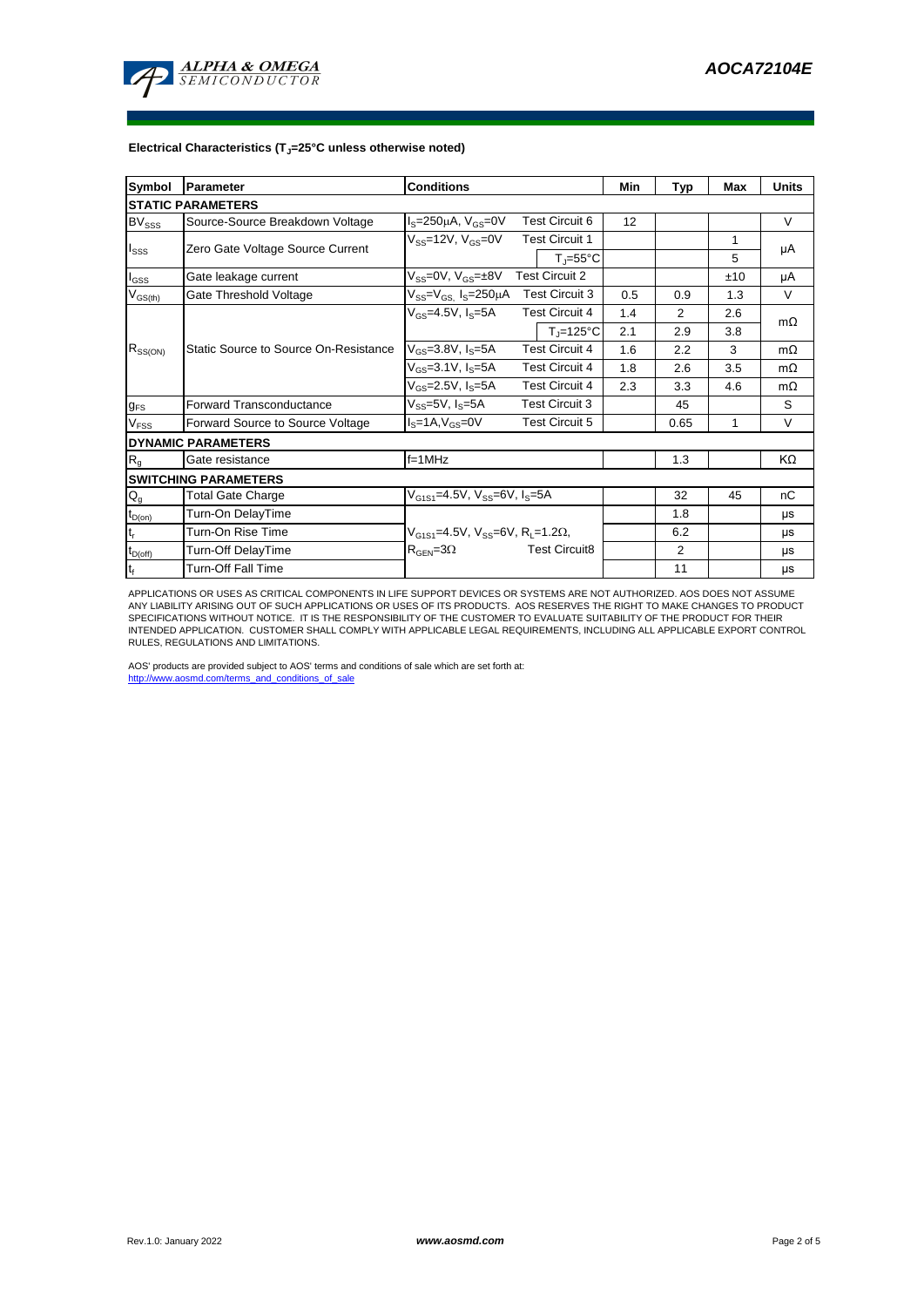

## **Electrical Characteristics (TJ=25°C unless otherwise noted)**

| <b>Symbol</b>                 | <b>Parameter</b>                      | <b>Conditions</b>                                            | Min | Typ            | Max | <b>Units</b> |  |  |  |  |  |  |
|-------------------------------|---------------------------------------|--------------------------------------------------------------|-----|----------------|-----|--------------|--|--|--|--|--|--|
| <b>STATIC PARAMETERS</b>      |                                       |                                                              |     |                |     |              |  |  |  |  |  |  |
| <b>BV</b> sss                 | Source-Source Breakdown Voltage       | <b>Test Circuit 6</b><br>$I_s = 250 \mu A$ , $V_{GS} = 0V$   | 12  |                |     | $\vee$       |  |  |  |  |  |  |
| $I_{SSS}$                     |                                       | $V_{SS}$ =12V, $V_{GS}$ =0V<br><b>Test Circuit 1</b>         |     |                | 1   |              |  |  |  |  |  |  |
|                               | Zero Gate Voltage Source Current      | $T_{\parallel} = 55^{\circ}C$                                |     |                | 5   | μA           |  |  |  |  |  |  |
| $I_{GSS}$                     | Gate leakage current                  | <b>Test Circuit 2</b><br>$V_{SS}=0V$ , $V_{GS}=±8V$          |     |                | ±10 | μA           |  |  |  |  |  |  |
| $V_{GS(th)}$                  | Gate Threshold Voltage                | <b>Test Circuit 3</b><br>$V_{SS} = V_{GS}$ $I_S = 250 \mu A$ | 0.5 | 0.9            | 1.3 | $\vee$       |  |  |  |  |  |  |
| $R_{SS(ON)}$                  |                                       | <b>Test Circuit 4</b><br>$V_{GS} = 4.5V, I_S = 5A$           | 1.4 | $\mathcal{P}$  | 2.6 | $m\Omega$    |  |  |  |  |  |  |
|                               |                                       | $T_{\parallel}$ =125°C                                       | 2.1 | 2.9            | 3.8 |              |  |  |  |  |  |  |
|                               | Static Source to Source On-Resistance | $V_{GS}$ =3.8V, $I_S$ =5A<br><b>Test Circuit 4</b>           | 1.6 | 2.2            | 3   | $m\Omega$    |  |  |  |  |  |  |
|                               |                                       | $V_{GS} = 3.1 V, I_S = 5A$<br><b>Test Circuit 4</b>          | 1.8 | 2.6            | 3.5 | $m\Omega$    |  |  |  |  |  |  |
|                               |                                       | $V_{GS}$ =2.5V, $I_S$ =5A<br><b>Test Circuit 4</b>           | 2.3 | 3.3            | 4.6 | $m\Omega$    |  |  |  |  |  |  |
| <b>g<sub>FS</sub></b>         | <b>Forward Transconductance</b>       | $V_{SS}$ =5V, $I_S$ =5A<br><b>Test Circuit 3</b>             |     | 45             |     | S            |  |  |  |  |  |  |
| V <sub>FSS</sub>              | Forward Source to Source Voltage      | <b>Test Circuit 5</b><br>$IS=1A, VGS=0V$                     |     | 0.65           | 1   | $\vee$       |  |  |  |  |  |  |
| <b>DYNAMIC PARAMETERS</b>     |                                       |                                                              |     |                |     |              |  |  |  |  |  |  |
| R <sub>g</sub>                | Gate resistance                       | $f = 1$ MHz                                                  |     | 1.3            |     | KΩ           |  |  |  |  |  |  |
| <b>SWITCHING PARAMETERS</b>   |                                       |                                                              |     |                |     |              |  |  |  |  |  |  |
| $Q_g$                         | Total Gate Charge                     | $V_{G1S1} = 4.5V$ , $V_{SS} = 6V$ , $I_S = 5A$               |     | 32             | 45  | nC           |  |  |  |  |  |  |
| $t_{D(on)}$                   | Turn-On DelayTime                     |                                                              |     | 1.8            |     | μs           |  |  |  |  |  |  |
| $\mathfrak{t}_{\mathsf{r}}$   | Turn-On Rise Time                     | $V_{G1S1} = 4.5V$ , $V_{SS} = 6V$ , $R_1 = 1.2\Omega$ ,      |     | 6.2            |     | μs           |  |  |  |  |  |  |
| $t_{D(off)}$                  | Turn-Off DelayTime                    | $R_{\text{GEN}} = 3\Omega$<br><b>Test Circuit8</b>           |     | $\overline{2}$ |     | μs           |  |  |  |  |  |  |
| $\mathfrak{t}_{\mathfrak{f}}$ | <b>Turn-Off Fall Time</b>             |                                                              |     | 11             |     | μs           |  |  |  |  |  |  |

APPLICATIONS OR USES AS CRITICAL COMPONENTS IN LIFE SUPPORT DEVICES OR SYSTEMS ARE NOT AUTHORIZED. AOS DOES NOT ASSUME ANY LIABILITY ARISING OUT OF SUCH APPLICATIONS OR USES OF ITS PRODUCTS. AOS RESERVES THE RIGHT TO MAKE CHANGES TO PRODUCT<br>SPECIFICATIONS WITHOUT NOTICE. IT IS THE RESPONSIBILITY OF THE CUSTOMER TO EVALUATE SUITABILITY OF T

AOS' products are provided subject to AOS' terms and conditions of sale which are set forth at:<br>http://www.gosmd.com/terms.and.conditions of sale http://www.aosmd.com/terms\_and\_conditions\_of\_sale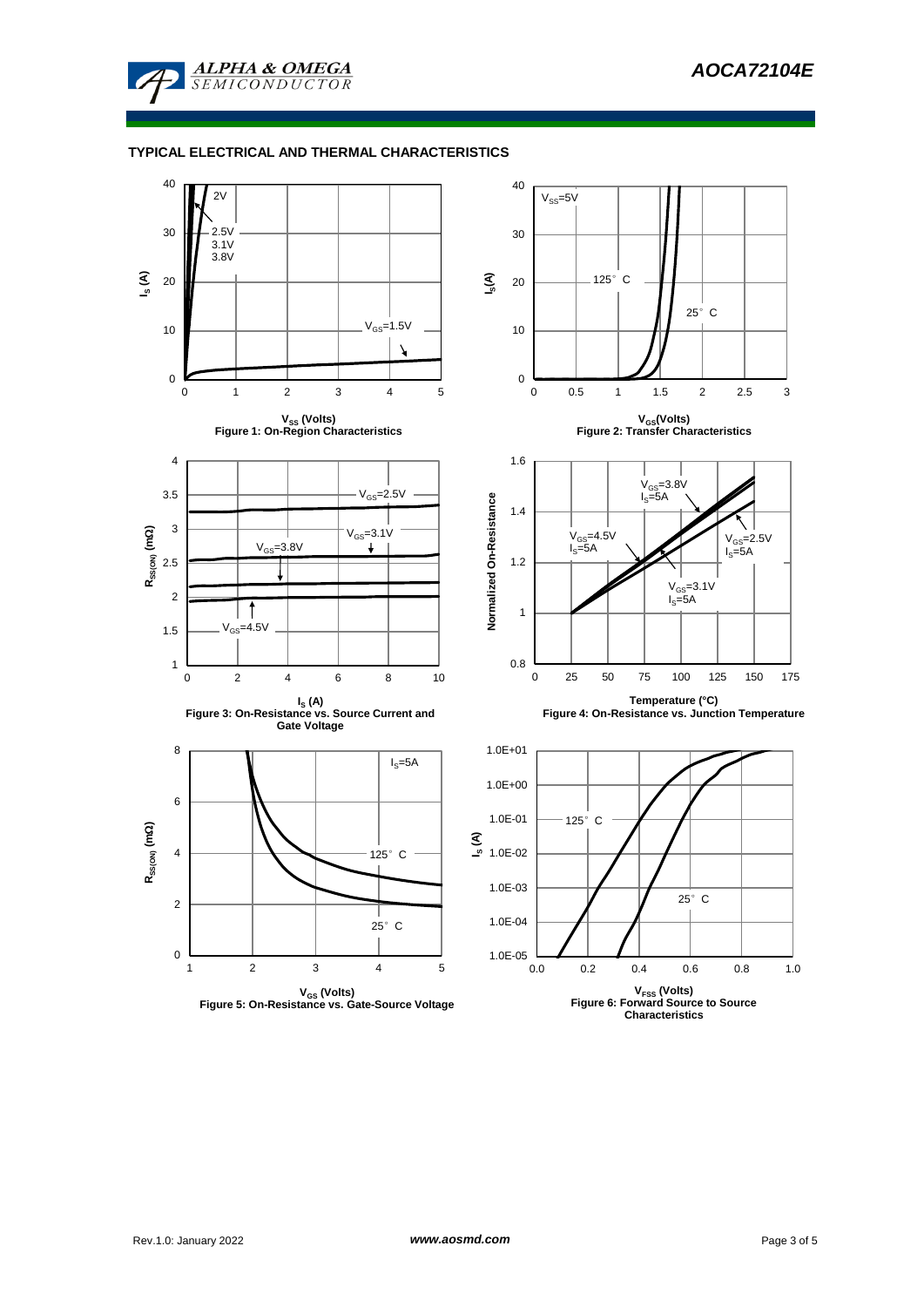

## **TYPICAL ELECTRICAL AND THERMAL CHARACTERISTICS**

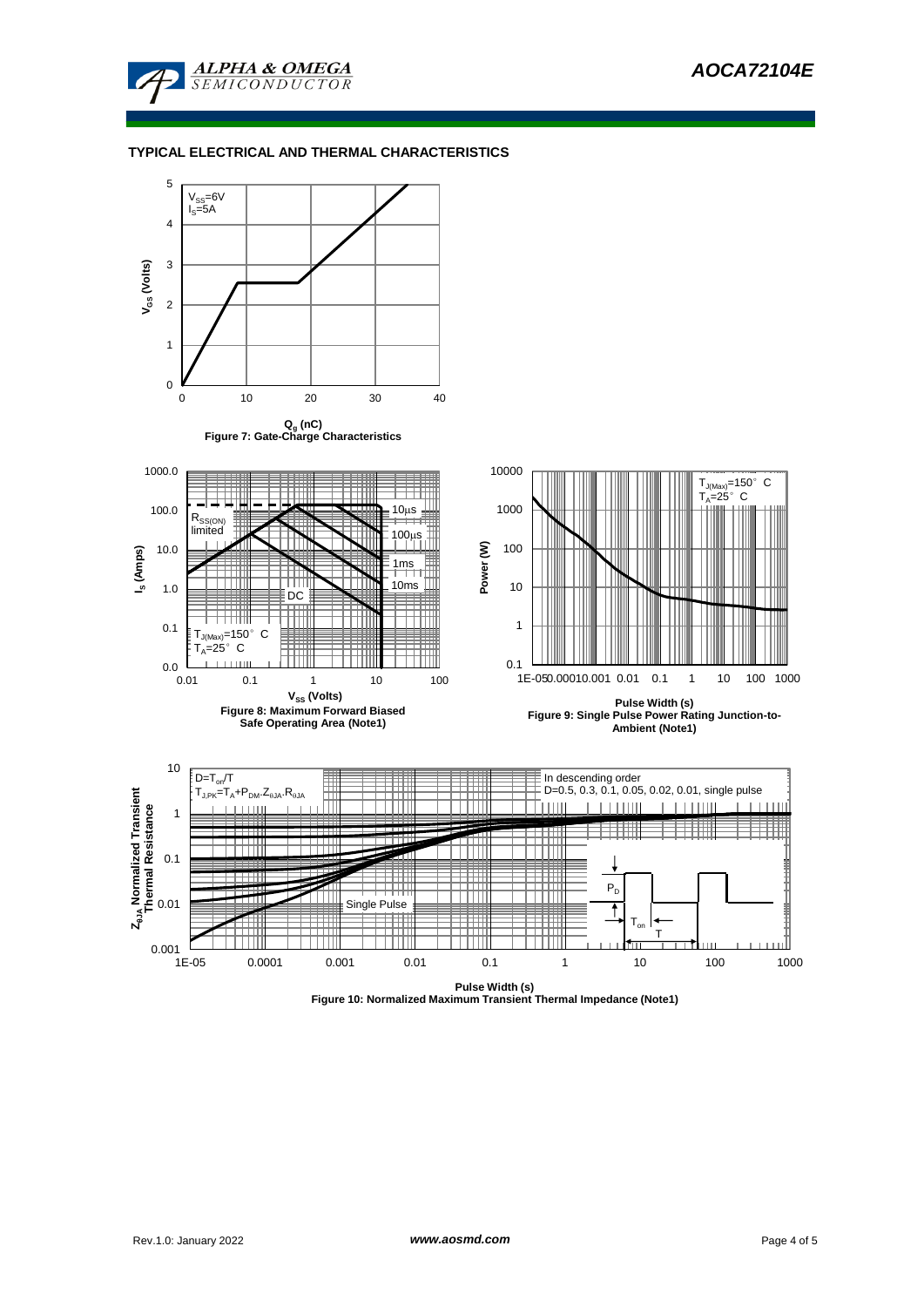

## **TYPICAL ELECTRICAL AND THERMAL CHARACTERISTICS**



**Figure 10: Normalized Maximum Transient Thermal Impedance (Note1)**